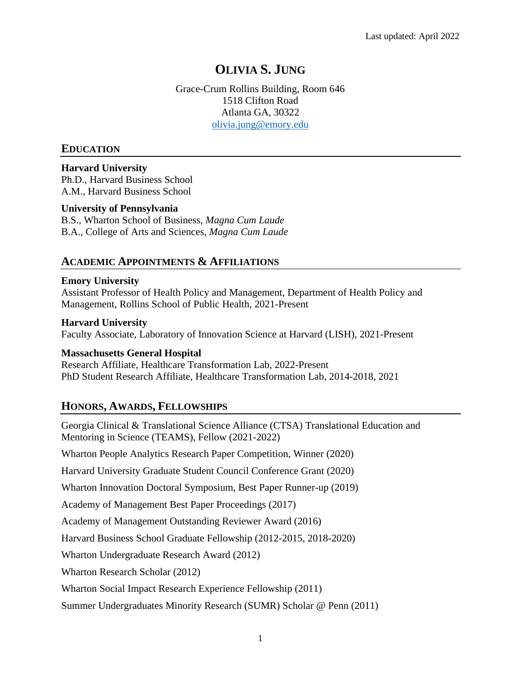# **OLIVIA S. JUNG**

Grace-Crum Rollins Building, Room 646 1518 Clifton Road Atlanta GA, 30322 [olivia.jung@emory.edu](mailto:olivia.jung@emory.edu)

# **EDUCATION**

**Harvard University** Ph.D., Harvard Business School A.M., Harvard Business School

# **University of Pennsylvania**

B.S., Wharton School of Business, *Magna Cum Laude* B.A., College of Arts and Sciences, *Magna Cum Laude*

# **ACADEMIC APPOINTMENTS & AFFILIATIONS**

## **Emory University**

Assistant Professor of Health Policy and Management, Department of Health Policy and Management, Rollins School of Public Health, 2021-Present

#### **Harvard University**

Faculty Associate, Laboratory of Innovation Science at Harvard (LISH), 2021-Present

## **Massachusetts General Hospital**

Research Affiliate, Healthcare Transformation Lab, 2022-Present PhD Student Research Affiliate, Healthcare Transformation Lab, 2014-2018, 2021

# **HONORS, AWARDS, FELLOWSHIPS**

Georgia Clinical & Translational Science Alliance (CTSA) Translational Education and Mentoring in Science (TEAMS), Fellow (2021-2022)

Wharton People Analytics Research Paper Competition, Winner (2020)

Harvard University Graduate Student Council Conference Grant (2020)

Wharton Innovation Doctoral Symposium, Best Paper Runner-up (2019)

Academy of Management Best Paper Proceedings (2017)

Academy of Management Outstanding Reviewer Award (2016)

Harvard Business School Graduate Fellowship (2012-2015, 2018-2020)

Wharton Undergraduate Research Award (2012)

Wharton Research Scholar (2012)

Wharton Social Impact Research Experience Fellowship (2011)

Summer Undergraduates Minority Research (SUMR) Scholar @ Penn (2011)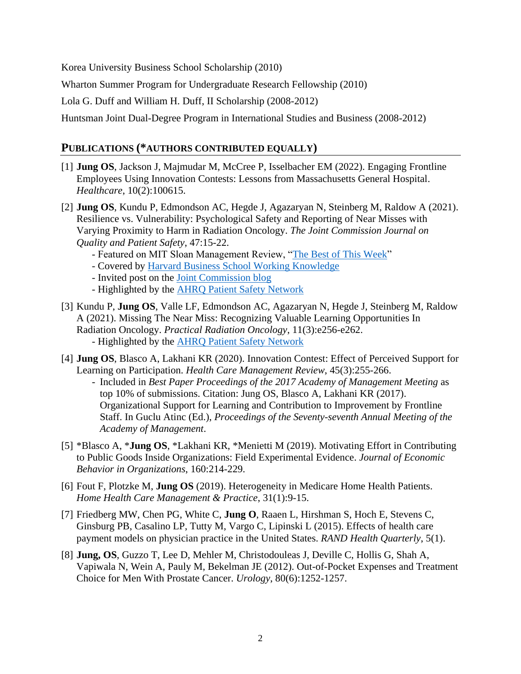Korea University Business School Scholarship (2010)

Wharton Summer Program for Undergraduate Research Fellowship (2010)

Lola G. Duff and William H. Duff, II Scholarship (2008-2012)

Huntsman Joint Dual-Degree Program in International Studies and Business (2008-2012)

# **PUBLICATIONS (\*AUTHORS CONTRIBUTED EQUALLY)**

- [1] **Jung OS**, Jackson J, Majmudar M, McCree P, Isselbacher EM (2022). Engaging Frontline Employees Using Innovation Contests: Lessons from Massachusetts General Hospital. *Healthcare*, 10(2):100615.
- [2] **Jung OS**, Kundu P, Edmondson AC, Hegde J, Agazaryan N, Steinberg M, Raldow A (2021). Resilience vs. Vulnerability: Psychological Safety and Reporting of Near Misses with Varying Proximity to Harm in Radiation Oncology. *The Joint Commission Journal on Quality and Patient Safety*, 47:15-22.
	- Featured on MIT Sloan Management Review, ["The Best of This Week"](https://sloanreview.mit.edu/article/best-of-this-week-experimental-arrangements-org-learning/?)
	- Covered by [Harvard Business School Working Knowledge](https://hbswk.hbs.edu/item/how-to-learn-from-the-big-mistake-you-almost-make)
	- Invited post on the [Joint Commission blog](https://www.jointcommission.org/resources/news-and-multimedia/blogs/improvement-insights/2021/01/25/role-of-psychological-safety-in-near-misses-reporting/)
	- Highlighted by the **AHRQ Patient Safety Network**
- [3] Kundu P, **Jung OS**, Valle LF, Edmondson AC, Agazaryan N, Hegde J, Steinberg M, Raldow A (2021). Missing The Near Miss: Recognizing Valuable Learning Opportunities In Radiation Oncology. *Practical Radiation Oncology*, 11(3):e256-e262. - Highlighted by the [AHRQ Patient Safety Network](https://psnet.ahrq.gov/issue/missing-near-miss-recognizing-valuable-learning-opportunities-radiation-oncology)
- [4] **Jung OS**, Blasco A, Lakhani KR (2020). Innovation Contest: Effect of Perceived Support for Learning on Participation. *Health Care Management Review*, 45(3):255-266.
	- Included in *Best Paper Proceedings of the 2017 Academy of Management Meeting* as top 10% of submissions. Citation: Jung OS, Blasco A, Lakhani KR (2017). Organizational Support for Learning and Contribution to Improvement by Frontline Staff. In Guclu Atinc (Ed.), *Proceedings of the Seventy-seventh Annual Meeting of the Academy of Management*.
- [5] \*Blasco A, \***Jung OS**, \*Lakhani KR, \*Menietti M (2019). Motivating Effort in Contributing to Public Goods Inside Organizations: Field Experimental Evidence. *Journal of Economic Behavior in Organizations*, 160:214-229.
- [6] Fout F, Plotzke M, **Jung OS** (2019). Heterogeneity in Medicare Home Health Patients. *Home Health Care Management & Practice*, 31(1):9-15.
- [7] Friedberg MW, Chen PG, White C, **Jung O**, Raaen L, Hirshman S, Hoch E, Stevens C, Ginsburg PB, Casalino LP, Tutty M, Vargo C, Lipinski L (2015). Effects of health care payment models on physician practice in the United States. *RAND Health Quarterly*, 5(1).
- [8] **Jung, OS**, Guzzo T, Lee D, Mehler M, Christodouleas J, Deville C, Hollis G, Shah A, Vapiwala N, Wein A, Pauly M, Bekelman JE (2012). Out-of-Pocket Expenses and Treatment Choice for Men With Prostate Cancer. *Urology*, 80(6):1252-1257.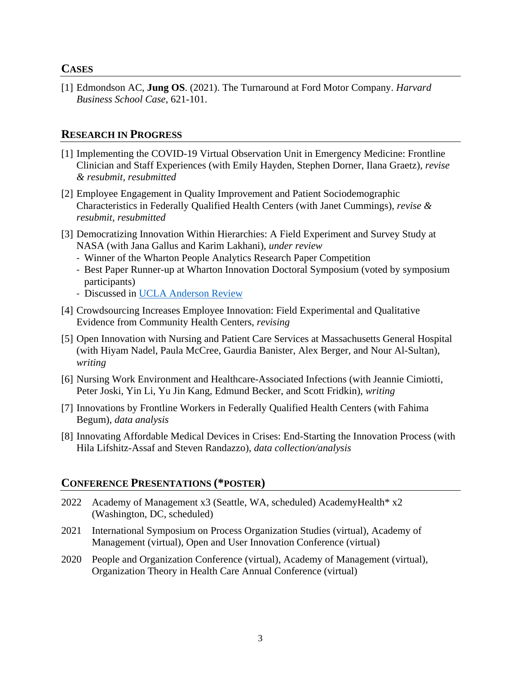# **CASES**

[1] Edmondson AC, **Jung OS**. (2021). The Turnaround at Ford Motor Company. *Harvard Business School Case*, 621-101.

# **RESEARCH IN PROGRESS**

- [1] Implementing the COVID-19 Virtual Observation Unit in Emergency Medicine: Frontline Clinician and Staff Experiences (with Emily Hayden, Stephen Dorner, Ilana Graetz), *revise & resubmit, resubmitted*
- [2] Employee Engagement in Quality Improvement and Patient Sociodemographic Characteristics in Federally Qualified Health Centers (with Janet Cummings), *revise & resubmit, resubmitted*
- [3] Democratizing Innovation Within Hierarchies: A Field Experiment and Survey Study at NASA (with Jana Gallus and Karim Lakhani), *under review*
	- Winner of the Wharton People Analytics Research Paper Competition
	- Best Paper Runner-up at Wharton Innovation Doctoral Symposium (voted by symposium participants)
	- Discussed in [UCLA Anderson Review](https://www.anderson.ucla.edu/faculty-and-research/anderson-review/worker-ideas)
- [4] Crowdsourcing Increases Employee Innovation: Field Experimental and Qualitative Evidence from Community Health Centers, *revising*
- [5] Open Innovation with Nursing and Patient Care Services at Massachusetts General Hospital (with Hiyam Nadel, Paula McCree, Gaurdia Banister, Alex Berger, and Nour Al-Sultan), *writing*
- [6] Nursing Work Environment and Healthcare-Associated Infections (with Jeannie Cimiotti, Peter Joski, Yin Li, Yu Jin Kang, Edmund Becker, and Scott Fridkin), *writing*
- [7] Innovations by Frontline Workers in Federally Qualified Health Centers (with Fahima Begum), *data analysis*
- [8] Innovating Affordable Medical Devices in Crises: End-Starting the Innovation Process (with Hila Lifshitz-Assaf and Steven Randazzo), *data collection/analysis*

## **CONFERENCE PRESENTATIONS (\*POSTER)**

- 2022 Academy of Management x3 (Seattle, WA, scheduled) AcademyHealth\* x2 (Washington, DC, scheduled)
- 2021 International Symposium on Process Organization Studies (virtual), Academy of Management (virtual), Open and User Innovation Conference (virtual)
- 2020 People and Organization Conference (virtual), Academy of Management (virtual), Organization Theory in Health Care Annual Conference (virtual)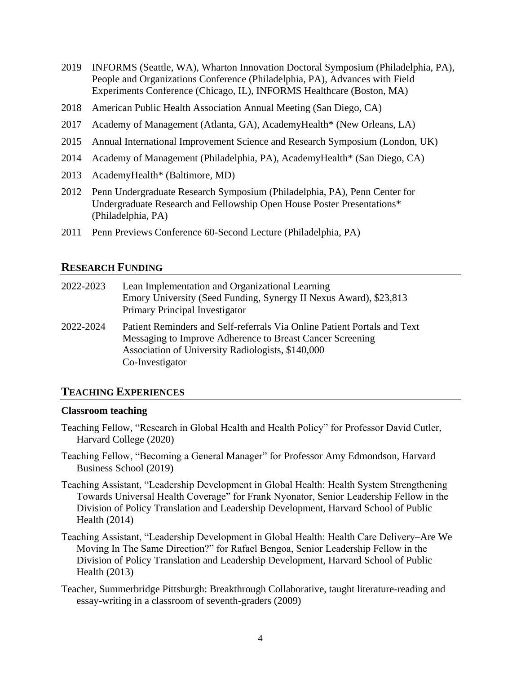- 2019 INFORMS (Seattle, WA), Wharton Innovation Doctoral Symposium (Philadelphia, PA), People and Organizations Conference (Philadelphia, PA), Advances with Field Experiments Conference (Chicago, IL), INFORMS Healthcare (Boston, MA)
- 2018 American Public Health Association Annual Meeting (San Diego, CA)
- 2017 Academy of Management (Atlanta, GA), AcademyHealth\* (New Orleans, LA)
- 2015 Annual International Improvement Science and Research Symposium (London, UK)
- 2014 Academy of Management (Philadelphia, PA), AcademyHealth\* (San Diego, CA)
- 2013 AcademyHealth\* (Baltimore, MD)
- 2012 Penn Undergraduate Research Symposium (Philadelphia, PA), Penn Center for Undergraduate Research and Fellowship Open House Poster Presentations\* (Philadelphia, PA)
- 2011 Penn Previews Conference 60-Second Lecture (Philadelphia, PA)

# **RESEARCH FUNDING**

| 2022-2023 | Lean Implementation and Organizational Learning<br>Emory University (Seed Funding, Synergy II Nexus Award), \$23,813<br>Primary Principal Investigator                                                        |
|-----------|---------------------------------------------------------------------------------------------------------------------------------------------------------------------------------------------------------------|
| 2022-2024 | Patient Reminders and Self-referrals Via Online Patient Portals and Text<br>Messaging to Improve Adherence to Breast Cancer Screening<br>Association of University Radiologists, \$140,000<br>Co-Investigator |

## **TEACHING EXPERIENCES**

#### **Classroom teaching**

- Teaching Fellow, "Research in Global Health and Health Policy" for Professor David Cutler, Harvard College (2020)
- Teaching Fellow, "Becoming a General Manager" for Professor Amy Edmondson, Harvard Business School (2019)
- Teaching Assistant, "Leadership Development in Global Health: Health System Strengthening Towards Universal Health Coverage" for Frank Nyonator, Senior Leadership Fellow in the Division of Policy Translation and Leadership Development, Harvard School of Public Health (2014)
- Teaching Assistant, "Leadership Development in Global Health: Health Care Delivery–Are We Moving In The Same Direction?" for Rafael Bengoa, Senior Leadership Fellow in the Division of Policy Translation and Leadership Development, Harvard School of Public Health (2013)
- Teacher, Summerbridge Pittsburgh: Breakthrough Collaborative, taught literature-reading and essay-writing in a classroom of seventh-graders (2009)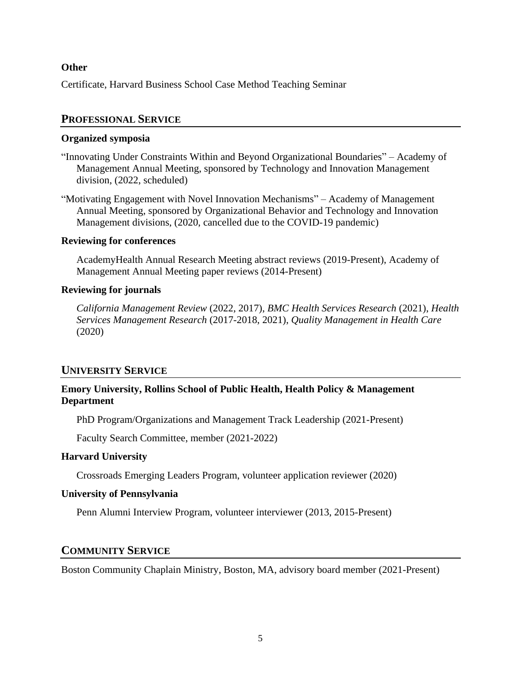## **Other**

Certificate, Harvard Business School Case Method Teaching Seminar

# **PROFESSIONAL SERVICE**

### **Organized symposia**

- "Innovating Under Constraints Within and Beyond Organizational Boundaries" Academy of Management Annual Meeting, sponsored by Technology and Innovation Management division, (2022, scheduled)
- "Motivating Engagement with Novel Innovation Mechanisms" Academy of Management Annual Meeting, sponsored by Organizational Behavior and Technology and Innovation Management divisions, (2020, cancelled due to the COVID-19 pandemic)

## **Reviewing for conferences**

AcademyHealth Annual Research Meeting abstract reviews (2019-Present), Academy of Management Annual Meeting paper reviews (2014-Present)

## **Reviewing for journals**

*California Management Review* (2022, 2017), *BMC Health Services Research* (2021), *Health Services Management Research* (2017-2018, 2021), *Quality Management in Health Care* (2020)

## **UNIVERSITY SERVICE**

# **Emory University, Rollins School of Public Health, Health Policy & Management Department**

PhD Program/Organizations and Management Track Leadership (2021-Present)

Faculty Search Committee, member (2021-2022)

## **Harvard University**

Crossroads Emerging Leaders Program, volunteer application reviewer (2020)

## **University of Pennsylvania**

Penn Alumni Interview Program, volunteer interviewer (2013, 2015-Present)

# **COMMUNITY SERVICE**

Boston Community Chaplain Ministry, Boston, MA, advisory board member (2021-Present)